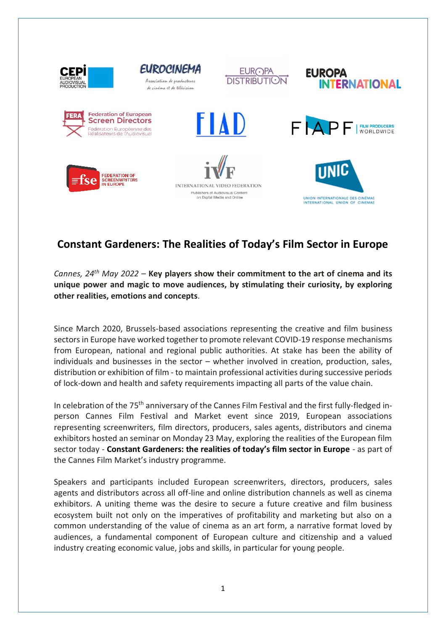

## **Constant Gardeners: The Realities of Today's Film Sector in Europe**

*Cannes, 24th May 2022* – **Key players show their commitment to the art of cinema and its unique power and magic to move audiences, by stimulating their curiosity, by exploring other realities, emotions and concepts**.

Since March 2020, Brussels-based associations representing the creative and film business sectors in Europe have worked together to promote relevant COVID-19 response mechanisms from European, national and regional public authorities. At stake has been the ability of individuals and businesses in the sector – whether involved in creation, production, sales, distribution or exhibition of film - to maintain professional activities during successive periods of lock-down and health and safety requirements impacting all parts of the value chain.

In celebration of the 75<sup>th</sup> anniversary of the Cannes Film Festival and the first fully-fledged inperson Cannes Film Festival and Market event since 2019, European associations representing screenwriters, film directors, producers, sales agents, distributors and cinema exhibitors hosted an seminar on Monday 23 May, exploring the realities of the European film sector today - **Constant Gardeners: the realities of today's film sector in Europe** - as part of the Cannes Film Market's industry programme.

Speakers and participants included European screenwriters, directors, producers, sales agents and distributors across all off-line and online distribution channels as well as cinema exhibitors. A uniting theme was the desire to secure a future creative and film business ecosystem built not only on the imperatives of profitability and marketing but also on a common understanding of the value of cinema as an art form, a narrative format loved by audiences, a fundamental component of European culture and citizenship and a valued industry creating economic value, jobs and skills, in particular for young people.